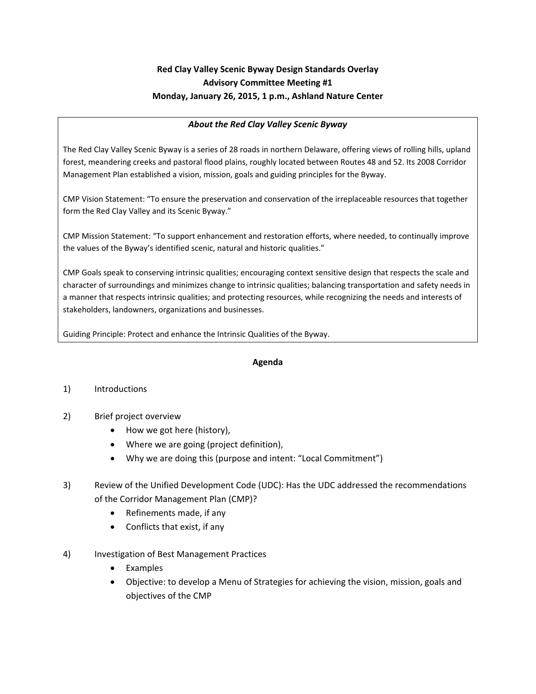# **Red Clay Valley Scenic Byway Design Standards Overlay Advisory Committee Meeting #1 Monday, January 26, 2015, 1 p.m., Ashland Nature Center**

#### *About the Red Clay Valley Scenic Byway*

The Red Clay Valley Scenic Byway is a series of 28 roads in northern Delaware, offering views of rolling hills, upland forest, meandering creeks and pastoral flood plains, roughly located between Routes 48 and 52. Its 2008 Corridor Management Plan established a vision, mission, goals and guiding principles for the Byway.

CMP Vision Statement: "To ensure the preservation and conservation of the irreplaceable resources that together form the Red Clay Valley and its Scenic Byway."

CMP Mission Statement: "To support enhancement and restoration efforts, where needed, to continually improve the values of the Byway's identified scenic, natural and historic qualities."

CMP Goals speak to conserving intrinsic qualities; encouraging context sensitive design that respects the scale and character of surroundings and minimizes change to intrinsic qualities; balancing transportation and safety needs in a manner that respects intrinsic qualities; and protecting resources, while recognizing the needs and interests of stakeholders, landowners, organizations and businesses.

Guiding Principle: Protect and enhance the Intrinsic Qualities of the Byway.

#### **Agenda**

#### 1) Introductions

- 2) Brief project overview
	- How we got here (history),
	- Where we are going (project definition),
	- Why we are doing this (purpose and intent: "Local Commitment")
- 3) Review of the Unified Development Code (UDC): Has the UDC addressed the recommendations of the Corridor Management Plan (CMP)?
	- Refinements made, if any
	- Conflicts that exist, if any
- 4) Investigation of Best Management Practices
	- Examples
	- Objective: to develop a Menu of Strategies for achieving the vision, mission, goals and objectives of the CMP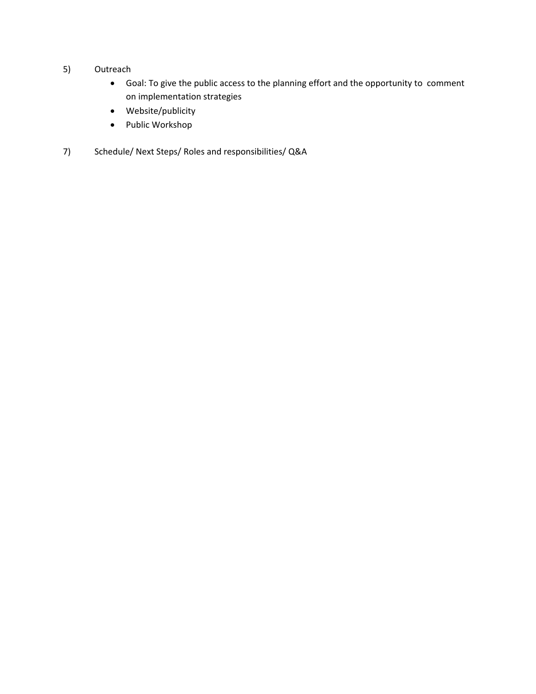- 5) Outreach
	- Goal: To give the public access to the planning effort and the opportunity to comment on implementation strategies
	- Website/publicity
	- Public Workshop
- 7) Schedule/ Next Steps/ Roles and responsibilities/ Q&A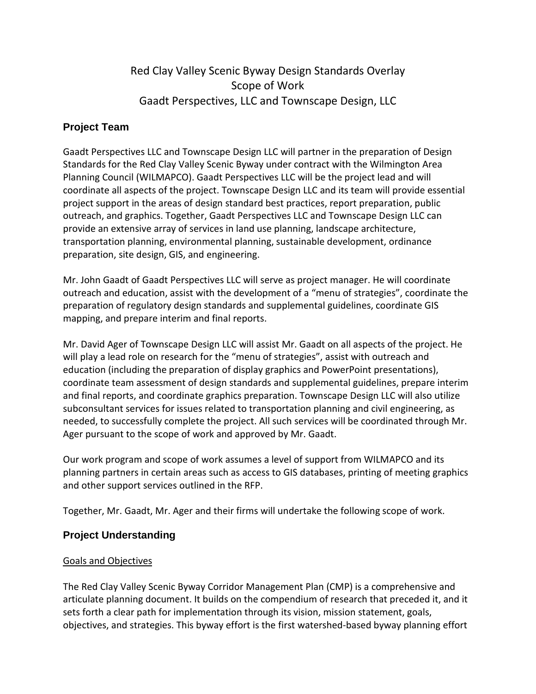# Red Clay Valley Scenic Byway Design Standards Overlay Scope of Work Gaadt Perspectives, LLC and Townscape Design, LLC

# **Project Team**

Gaadt Perspectives LLC and Townscape Design LLC will partner in the preparation of Design Standards for the Red Clay Valley Scenic Byway under contract with the Wilmington Area Planning Council (WILMAPCO). Gaadt Perspectives LLC will be the project lead and will coordinate all aspects of the project. Townscape Design LLC and its team will provide essential project support in the areas of design standard best practices, report preparation, public outreach, and graphics. Together, Gaadt Perspectives LLC and Townscape Design LLC can provide an extensive array of services in land use planning, landscape architecture, transportation planning, environmental planning, sustainable development, ordinance preparation, site design, GIS, and engineering.

Mr. John Gaadt of Gaadt Perspectives LLC will serve as project manager. He will coordinate outreach and education, assist with the development of a "menu of strategies", coordinate the preparation of regulatory design standards and supplemental guidelines, coordinate GIS mapping, and prepare interim and final reports.

Mr. David Ager of Townscape Design LLC will assist Mr. Gaadt on all aspects of the project. He will play a lead role on research for the "menu of strategies", assist with outreach and education (including the preparation of display graphics and PowerPoint presentations), coordinate team assessment of design standards and supplemental guidelines, prepare interim and final reports, and coordinate graphics preparation. Townscape Design LLC will also utilize subconsultant services for issues related to transportation planning and civil engineering, as needed, to successfully complete the project. All such services will be coordinated through Mr. Ager pursuant to the scope of work and approved by Mr. Gaadt.

Our work program and scope of work assumes a level of support from WILMAPCO and its planning partners in certain areas such as access to GIS databases, printing of meeting graphics and other support services outlined in the RFP.

Together, Mr. Gaadt, Mr. Ager and their firms will undertake the following scope of work.

# **Project Understanding**

#### Goals and Objectives

The Red Clay Valley Scenic Byway Corridor Management Plan (CMP) is a comprehensive and articulate planning document. It builds on the compendium of research that preceded it, and it sets forth a clear path for implementation through its vision, mission statement, goals, objectives, and strategies. This byway effort is the first watershed-based byway planning effort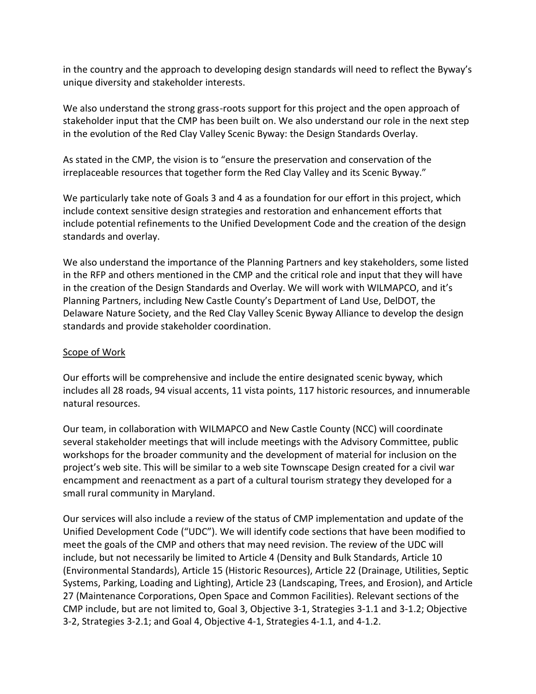in the country and the approach to developing design standards will need to reflect the Byway's unique diversity and stakeholder interests.

We also understand the strong grass-roots support for this project and the open approach of stakeholder input that the CMP has been built on. We also understand our role in the next step in the evolution of the Red Clay Valley Scenic Byway: the Design Standards Overlay.

As stated in the CMP, the vision is to "ensure the preservation and conservation of the irreplaceable resources that together form the Red Clay Valley and its Scenic Byway."

We particularly take note of Goals 3 and 4 as a foundation for our effort in this project, which include context sensitive design strategies and restoration and enhancement efforts that include potential refinements to the Unified Development Code and the creation of the design standards and overlay.

We also understand the importance of the Planning Partners and key stakeholders, some listed in the RFP and others mentioned in the CMP and the critical role and input that they will have in the creation of the Design Standards and Overlay. We will work with WILMAPCO, and it's Planning Partners, including New Castle County's Department of Land Use, DelDOT, the Delaware Nature Society, and the Red Clay Valley Scenic Byway Alliance to develop the design standards and provide stakeholder coordination.

#### Scope of Work

Our efforts will be comprehensive and include the entire designated scenic byway, which includes all 28 roads, 94 visual accents, 11 vista points, 117 historic resources, and innumerable natural resources.

Our team, in collaboration with WILMAPCO and New Castle County (NCC) will coordinate several stakeholder meetings that will include meetings with the Advisory Committee, public workshops for the broader community and the development of material for inclusion on the project's web site. This will be similar to a web site Townscape Design created for a civil war encampment and reenactment as a part of a cultural tourism strategy they developed for a small rural community in Maryland.

Our services will also include a review of the status of CMP implementation and update of the Unified Development Code ("UDC"). We will identify code sections that have been modified to meet the goals of the CMP and others that may need revision. The review of the UDC will include, but not necessarily be limited to Article 4 (Density and Bulk Standards, Article 10 (Environmental Standards), Article 15 (Historic Resources), Article 22 (Drainage, Utilities, Septic Systems, Parking, Loading and Lighting), Article 23 (Landscaping, Trees, and Erosion), and Article 27 (Maintenance Corporations, Open Space and Common Facilities). Relevant sections of the CMP include, but are not limited to, Goal 3, Objective 3-1, Strategies 3-1.1 and 3-1.2; Objective 3-2, Strategies 3-2.1; and Goal 4, Objective 4-1, Strategies 4-1.1, and 4-1.2.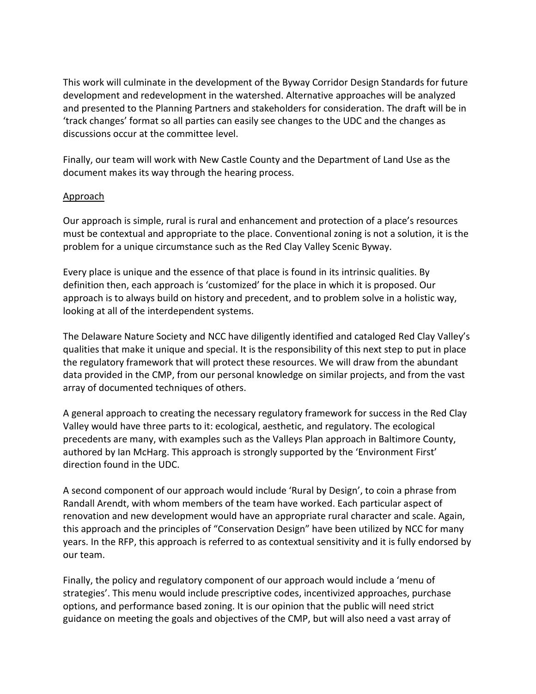This work will culminate in the development of the Byway Corridor Design Standards for future development and redevelopment in the watershed. Alternative approaches will be analyzed and presented to the Planning Partners and stakeholders for consideration. The draft will be in 'track changes' format so all parties can easily see changes to the UDC and the changes as discussions occur at the committee level.

Finally, our team will work with New Castle County and the Department of Land Use as the document makes its way through the hearing process.

#### Approach

Our approach is simple, rural is rural and enhancement and protection of a place's resources must be contextual and appropriate to the place. Conventional zoning is not a solution, it is the problem for a unique circumstance such as the Red Clay Valley Scenic Byway.

Every place is unique and the essence of that place is found in its intrinsic qualities. By definition then, each approach is 'customized' for the place in which it is proposed. Our approach is to always build on history and precedent, and to problem solve in a holistic way, looking at all of the interdependent systems.

The Delaware Nature Society and NCC have diligently identified and cataloged Red Clay Valley's qualities that make it unique and special. It is the responsibility of this next step to put in place the regulatory framework that will protect these resources. We will draw from the abundant data provided in the CMP, from our personal knowledge on similar projects, and from the vast array of documented techniques of others.

A general approach to creating the necessary regulatory framework for success in the Red Clay Valley would have three parts to it: ecological, aesthetic, and regulatory. The ecological precedents are many, with examples such as the Valleys Plan approach in Baltimore County, authored by Ian McHarg. This approach is strongly supported by the 'Environment First' direction found in the UDC.

A second component of our approach would include 'Rural by Design', to coin a phrase from Randall Arendt, with whom members of the team have worked. Each particular aspect of renovation and new development would have an appropriate rural character and scale. Again, this approach and the principles of "Conservation Design" have been utilized by NCC for many years. In the RFP, this approach is referred to as contextual sensitivity and it is fully endorsed by our team.

Finally, the policy and regulatory component of our approach would include a 'menu of strategies'. This menu would include prescriptive codes, incentivized approaches, purchase options, and performance based zoning. It is our opinion that the public will need strict guidance on meeting the goals and objectives of the CMP, but will also need a vast array of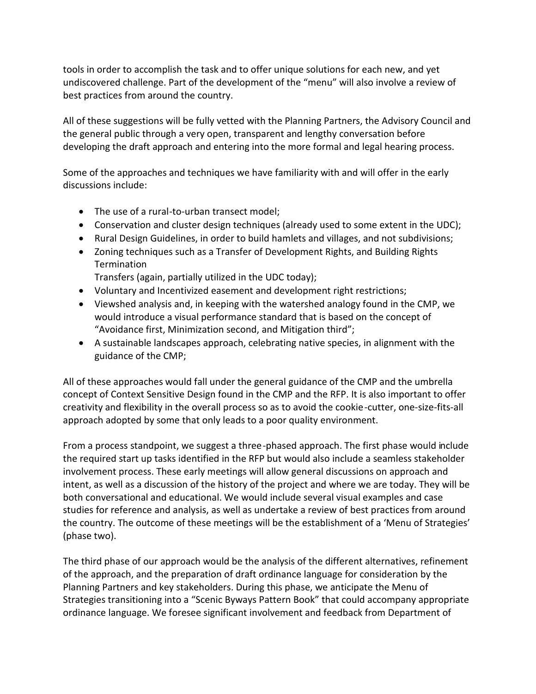tools in order to accomplish the task and to offer unique solutions for each new, and yet undiscovered challenge. Part of the development of the "menu" will also involve a review of best practices from around the country.

All of these suggestions will be fully vetted with the Planning Partners, the Advisory Council and the general public through a very open, transparent and lengthy conversation before developing the draft approach and entering into the more formal and legal hearing process.

Some of the approaches and techniques we have familiarity with and will offer in the early discussions include:

- The use of a rural-to-urban transect model;
- Conservation and cluster design techniques (already used to some extent in the UDC);
- Rural Design Guidelines, in order to build hamlets and villages, and not subdivisions;
- Zoning techniques such as a Transfer of Development Rights, and Building Rights **Termination**

Transfers (again, partially utilized in the UDC today);

- Voluntary and Incentivized easement and development right restrictions;
- Viewshed analysis and, in keeping with the watershed analogy found in the CMP, we would introduce a visual performance standard that is based on the concept of "Avoidance first, Minimization second, and Mitigation third";
- A sustainable landscapes approach, celebrating native species, in alignment with the guidance of the CMP;

All of these approaches would fall under the general guidance of the CMP and the umbrella concept of Context Sensitive Design found in the CMP and the RFP. It is also important to offer creativity and flexibility in the overall process so as to avoid the cookie-cutter, one-size-fits-all approach adopted by some that only leads to a poor quality environment.

From a process standpoint, we suggest a three-phased approach. The first phase would include the required start up tasks identified in the RFP but would also include a seamless stakeholder involvement process. These early meetings will allow general discussions on approach and intent, as well as a discussion of the history of the project and where we are today. They will be both conversational and educational. We would include several visual examples and case studies for reference and analysis, as well as undertake a review of best practices from around the country. The outcome of these meetings will be the establishment of a 'Menu of Strategies' (phase two).

The third phase of our approach would be the analysis of the different alternatives, refinement of the approach, and the preparation of draft ordinance language for consideration by the Planning Partners and key stakeholders. During this phase, we anticipate the Menu of Strategies transitioning into a "Scenic Byways Pattern Book" that could accompany appropriate ordinance language. We foresee significant involvement and feedback from Department of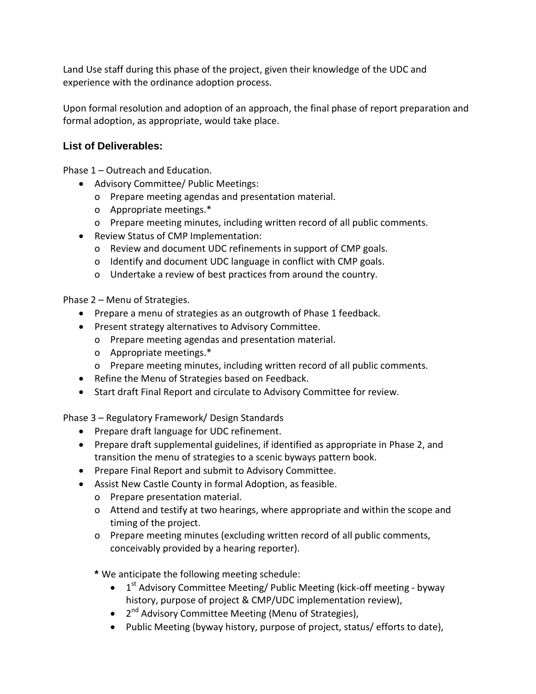Land Use staff during this phase of the project, given their knowledge of the UDC and experience with the ordinance adoption process.

Upon formal resolution and adoption of an approach, the final phase of report preparation and formal adoption, as appropriate, would take place.

# **List of Deliverables:**

Phase 1 – Outreach and Education.

- Advisory Committee/ Public Meetings:
	- o Prepare meeting agendas and presentation material.
	- o Appropriate meetings.\*
	- o Prepare meeting minutes, including written record of all public comments.
- Review Status of CMP Implementation:
	- o Review and document UDC refinements in support of CMP goals.
	- o Identify and document UDC language in conflict with CMP goals.
	- o Undertake a review of best practices from around the country.

Phase 2 – Menu of Strategies.

- Prepare a menu of strategies as an outgrowth of Phase 1 feedback.
- Present strategy alternatives to Advisory Committee.
	- o Prepare meeting agendas and presentation material.
	- o Appropriate meetings.\*
	- o Prepare meeting minutes, including written record of all public comments.
- Refine the Menu of Strategies based on Feedback.
- Start draft Final Report and circulate to Advisory Committee for review.

Phase 3 – Regulatory Framework/ Design Standards

- Prepare draft language for UDC refinement.
- Prepare draft supplemental guidelines, if identified as appropriate in Phase 2, and transition the menu of strategies to a scenic byways pattern book.
- Prepare Final Report and submit to Advisory Committee.
- Assist New Castle County in formal Adoption, as feasible.
	- o Prepare presentation material.
	- o Attend and testify at two hearings, where appropriate and within the scope and timing of the project.
	- o Prepare meeting minutes (excluding written record of all public comments, conceivably provided by a hearing reporter).

**\*** We anticipate the following meeting schedule:

- $1<sup>st</sup>$  Advisory Committee Meeting/ Public Meeting (kick-off meeting byway history, purpose of project & CMP/UDC implementation review),
- $2<sup>nd</sup>$  Advisory Committee Meeting (Menu of Strategies),
- Public Meeting (byway history, purpose of project, status/ efforts to date),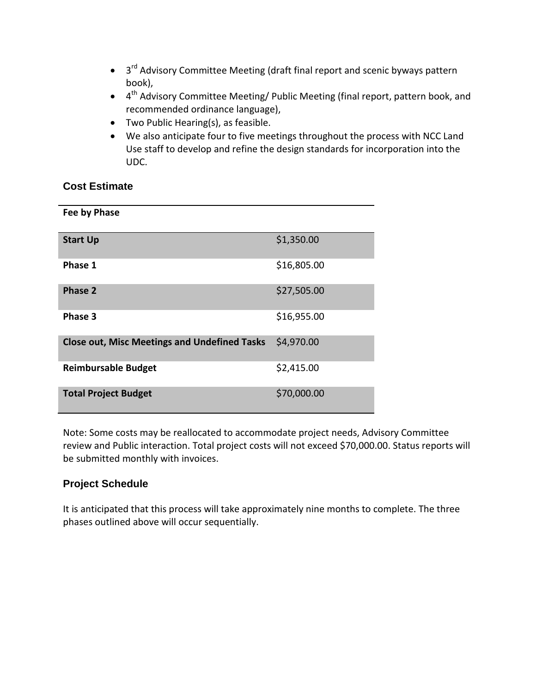- 3<sup>rd</sup> Advisory Committee Meeting (draft final report and scenic byways pattern book),
- $\bullet$  4<sup>th</sup> Advisory Committee Meeting/ Public Meeting (final report, pattern book, and recommended ordinance language),
- Two Public Hearing(s), as feasible.
- We also anticipate four to five meetings throughout the process with NCC Land Use staff to develop and refine the design standards for incorporation into the UDC.

#### **Cost Estimate**

| Fee by Phase                                        |             |
|-----------------------------------------------------|-------------|
| <b>Start Up</b>                                     | \$1,350.00  |
| Phase 1                                             | \$16,805.00 |
| Phase 2                                             | \$27,505.00 |
| Phase 3                                             | \$16,955.00 |
| <b>Close out, Misc Meetings and Undefined Tasks</b> | \$4,970.00  |
| <b>Reimbursable Budget</b>                          | \$2,415.00  |
| <b>Total Project Budget</b>                         | \$70,000.00 |

Note: Some costs may be reallocated to accommodate project needs, Advisory Committee review and Public interaction. Total project costs will not exceed \$70,000.00. Status reports will be submitted monthly with invoices.

# **Project Schedule**

It is anticipated that this process will take approximately nine months to complete. The three phases outlined above will occur sequentially.